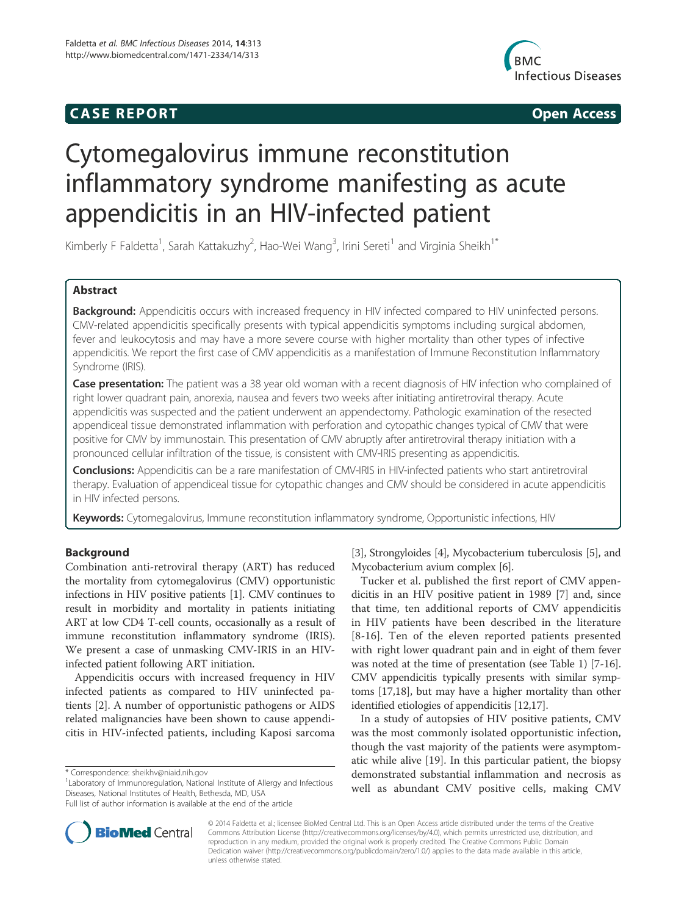## **CASE REPORT CASE REPORT**



# Cytomegalovirus immune reconstitution inflammatory syndrome manifesting as acute appendicitis in an HIV-infected patient

Kimberly F Faldetta<sup>1</sup>, Sarah Kattakuzhy<sup>2</sup>, Hao-Wei Wang<sup>3</sup>, Irini Sereti<sup>1</sup> and Virginia Sheikh<sup>1\*</sup>

## Abstract

Background: Appendicitis occurs with increased frequency in HIV infected compared to HIV uninfected persons. CMV-related appendicitis specifically presents with typical appendicitis symptoms including surgical abdomen, fever and leukocytosis and may have a more severe course with higher mortality than other types of infective appendicitis. We report the first case of CMV appendicitis as a manifestation of Immune Reconstitution Inflammatory Syndrome (IRIS).

Case presentation: The patient was a 38 year old woman with a recent diagnosis of HIV infection who complained of right lower quadrant pain, anorexia, nausea and fevers two weeks after initiating antiretroviral therapy. Acute appendicitis was suspected and the patient underwent an appendectomy. Pathologic examination of the resected appendiceal tissue demonstrated inflammation with perforation and cytopathic changes typical of CMV that were positive for CMV by immunostain. This presentation of CMV abruptly after antiretroviral therapy initiation with a pronounced cellular infiltration of the tissue, is consistent with CMV-IRIS presenting as appendicitis.

Conclusions: Appendicitis can be a rare manifestation of CMV-IRIS in HIV-infected patients who start antiretroviral therapy. Evaluation of appendiceal tissue for cytopathic changes and CMV should be considered in acute appendicitis in HIV infected persons.

Keywords: Cytomegalovirus, Immune reconstitution inflammatory syndrome, Opportunistic infections, HIV

## Background

Combination anti-retroviral therapy (ART) has reduced the mortality from cytomegalovirus (CMV) opportunistic infections in HIV positive patients [1]. CMV continues to result in morbidity and mortality in patients initiating ART at low CD4 T-cell counts, occasionally as a result of immune reconstitution inflammatory syndrome (IRIS). We present a case of unmasking CMV-IRIS in an HIVinfected patient following ART initiation.

Appendicitis occurs with increased frequency in HIV infected patients as compared to HIV uninfected patients [2]. A number of opportunistic pathogens or AIDS related malignancies have been shown to cause appendicitis in HIV-infected patients, including Kaposi sarcoma

<sup>1</sup> Laboratory of Immunoregulation, National Institute of Allergy and Infectious Diseases, National Institutes of Health, Bethesda, MD, USA

[3], Strongyloides [4], Mycobacterium tuberculosis [5], and Mycobacterium avium complex [6].

Tucker et al. published the first report of CMV appendicitis in an HIV positive patient in 1989 [7] and, since that time, ten additional reports of CMV appendicitis in HIV patients have been described in the literature [8-16]. Ten of the eleven reported patients presented with right lower quadrant pain and in eight of them fever was noted at the time of presentation (see Table 1) [7-16]. CMV appendicitis typically presents with similar symptoms [17,18], but may have a higher mortality than other identified etiologies of appendicitis [12,17].

In a study of autopsies of HIV positive patients, CMV was the most commonly isolated opportunistic infection, though the vast majority of the patients were asymptomatic while alive [19]. In this particular patient, the biopsy demonstrated substantial inflammation and necrosis as well as abundant CMV positive cells, making CMV



© 2014 Faldetta et al.; licensee BioMed Central Ltd. This is an Open Access article distributed under the terms of the Creative Commons Attribution License (http://creativecommons.org/licenses/by/4.0), which permits unrestricted use, distribution, and reproduction in any medium, provided the original work is properly credited. The Creative Commons Public Domain Dedication waiver (http://creativecommons.org/publicdomain/zero/1.0/) applies to the data made available in this article, unless otherwise stated.

<sup>\*</sup> Correspondence: sheikhv@niaid.nih.gov <sup>1</sup>

Full list of author information is available at the end of the article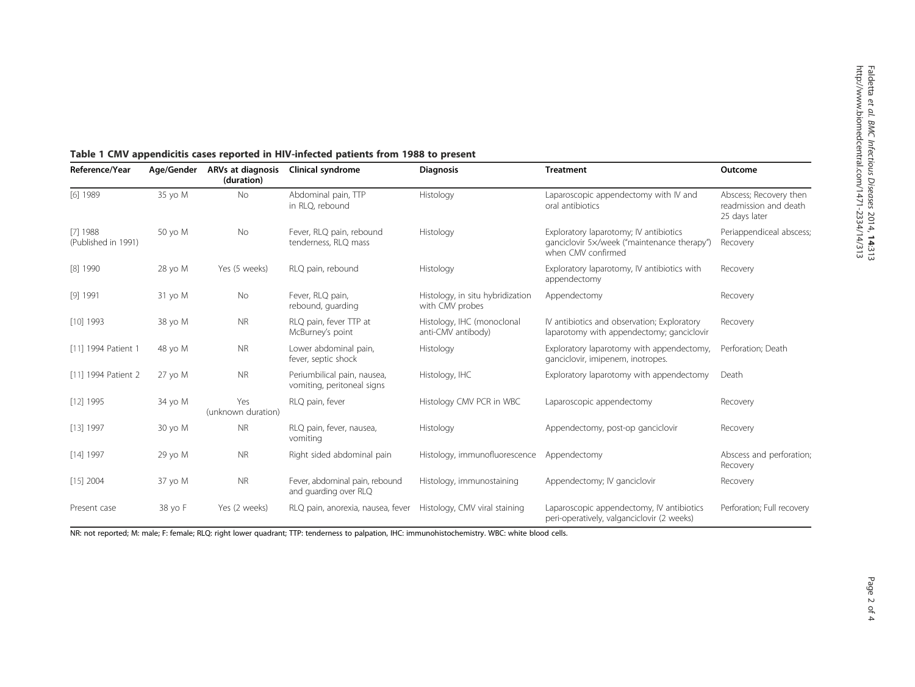| Reference/Year                    | Age/Gender | <b>ARVs at diagnosis</b><br>(duration) | <b>Clinical syndrome</b>                                  | <b>Diagnosis</b>                                    | <b>Treatment</b>                                                                                            | Outcome                                                          |
|-----------------------------------|------------|----------------------------------------|-----------------------------------------------------------|-----------------------------------------------------|-------------------------------------------------------------------------------------------------------------|------------------------------------------------------------------|
| [6] 1989                          | 35 yo M    | <b>No</b>                              | Abdominal pain, TTP<br>in RLQ, rebound                    | Histology                                           | Laparoscopic appendectomy with IV and<br>oral antibiotics                                                   | Abscess; Recovery then<br>readmission and death<br>25 days later |
| $[7]$ 1988<br>(Published in 1991) | 50 yo M    | No                                     | Fever, RLQ pain, rebound<br>tenderness, RLQ mass          | Histology                                           | Exploratory laparotomy; IV antibiotics<br>ganciclovir 5x/week ("maintenance therapy")<br>when CMV confirmed | Periappendiceal abscess;<br>Recovery                             |
| $[8]$ 1990                        | 28 yo M    | Yes (5 weeks)                          | RLQ pain, rebound                                         | Histology                                           | Exploratory laparotomy, IV antibiotics with<br>appendectomy                                                 | Recovery                                                         |
| [9] 1991                          | 31 yo M    | No                                     | Fever, RLQ pain,<br>rebound, quarding                     | Histology, in situ hybridization<br>with CMV probes | Appendectomy                                                                                                | Recovery                                                         |
| $[10]$ 1993                       | 38 yo M    | <b>NR</b>                              | RLQ pain, fever TTP at<br>McBurney's point                | Histology, IHC (monoclonal<br>anti-CMV antibody)    | IV antibiotics and observation; Exploratory<br>laparotomy with appendectomy; ganciclovir                    | Recovery                                                         |
| [11] 1994 Patient 1               | 48 yo M    | <b>NR</b>                              | Lower abdominal pain,<br>fever, septic shock              | Histology                                           | Exploratory laparotomy with appendectomy,<br>ganciclovir, imipenem, inotropes.                              | Perforation: Death                                               |
| [11] 1994 Patient 2               | 27 yo M    | <b>NR</b>                              | Periumbilical pain, nausea,<br>vomiting, peritoneal signs | Histology, IHC                                      | Exploratory laparotomy with appendectomy                                                                    | Death                                                            |
| $[12]$ 1995                       | 34 yo M    | Yes<br>(unknown duration)              | RLQ pain, fever                                           | Histology CMV PCR in WBC                            | Laparoscopic appendectomy                                                                                   | Recovery                                                         |
| $[13]$ 1997                       | 30 yo M    | <b>NR</b>                              | RLQ pain, fever, nausea,<br>vomiting                      | Histology                                           | Appendectomy, post-op ganciclovir                                                                           | Recovery                                                         |
| $[14]$ 1997                       | 29 yo M    | <b>NR</b>                              | Right sided abdominal pain                                | Histology, immunofluorescence                       | Appendectomy                                                                                                | Abscess and perforation;<br>Recovery                             |
| $[15]$ 2004                       | 37 yo M    | <b>NR</b>                              | Fever, abdominal pain, rebound<br>and guarding over RLQ   | Histology, immunostaining                           | Appendectomy; IV ganciclovir                                                                                | Recovery                                                         |
| Present case                      | 38 yo F    | Yes (2 weeks)                          | RLQ pain, anorexia, nausea, fever                         | Histology, CMV viral staining                       | Laparoscopic appendectomy, IV antibiotics<br>peri-operatively, valganciclovir (2 weeks)                     | Perforation; Full recovery                                       |

## Table 1 CMV appendicitis cases reported in HIV-infected patients from 1988 to present

NR: not reported; M: male; F: female; RLQ: right lower quadrant; TTP: tenderness to palpation, IHC: immunohistochemistry. WBC: white blood cells.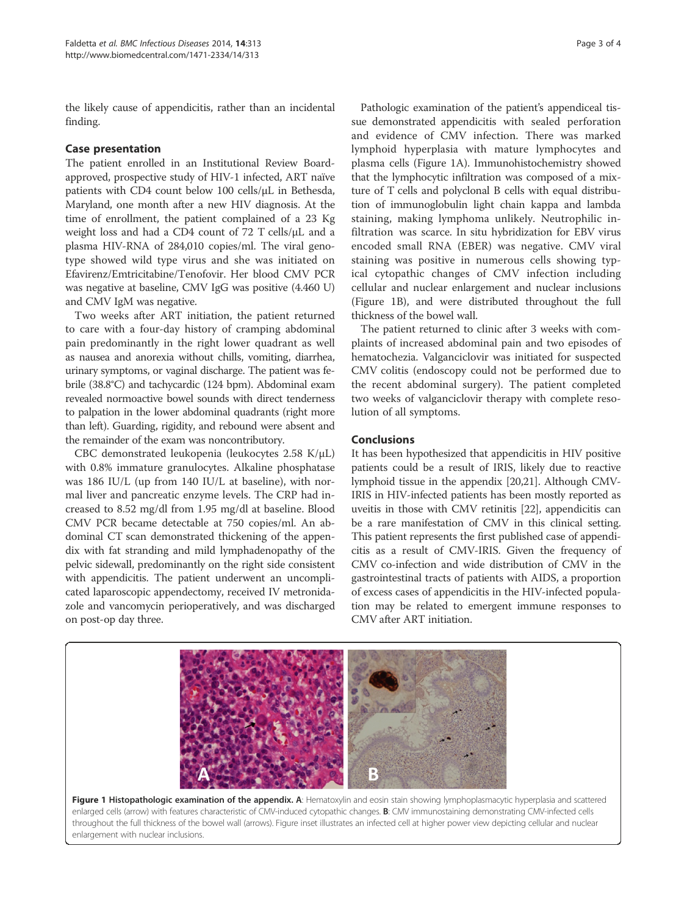the likely cause of appendicitis, rather than an incidental finding.

## Case presentation

The patient enrolled in an Institutional Review Boardapproved, prospective study of HIV-1 infected, ART naïve patients with CD4 count below 100 cells/μL in Bethesda, Maryland, one month after a new HIV diagnosis. At the time of enrollment, the patient complained of a 23 Kg weight loss and had a CD4 count of 72 T cells/μL and a plasma HIV-RNA of 284,010 copies/ml. The viral genotype showed wild type virus and she was initiated on Efavirenz/Emtricitabine/Tenofovir. Her blood CMV PCR was negative at baseline, CMV IgG was positive (4.460 U) and CMV IgM was negative.

Two weeks after ART initiation, the patient returned to care with a four-day history of cramping abdominal pain predominantly in the right lower quadrant as well as nausea and anorexia without chills, vomiting, diarrhea, urinary symptoms, or vaginal discharge. The patient was febrile (38.8°C) and tachycardic (124 bpm). Abdominal exam revealed normoactive bowel sounds with direct tenderness to palpation in the lower abdominal quadrants (right more than left). Guarding, rigidity, and rebound were absent and the remainder of the exam was noncontributory.

CBC demonstrated leukopenia (leukocytes 2.58 K/μL) with 0.8% immature granulocytes. Alkaline phosphatase was 186 IU/L (up from 140 IU/L at baseline), with normal liver and pancreatic enzyme levels. The CRP had increased to 8.52 mg/dl from 1.95 mg/dl at baseline. Blood CMV PCR became detectable at 750 copies/ml. An abdominal CT scan demonstrated thickening of the appendix with fat stranding and mild lymphadenopathy of the pelvic sidewall, predominantly on the right side consistent with appendicitis. The patient underwent an uncomplicated laparoscopic appendectomy, received IV metronidazole and vancomycin perioperatively, and was discharged on post-op day three.

Pathologic examination of the patient's appendiceal tissue demonstrated appendicitis with sealed perforation and evidence of CMV infection. There was marked lymphoid hyperplasia with mature lymphocytes and plasma cells (Figure 1A). Immunohistochemistry showed that the lymphocytic infiltration was composed of a mixture of T cells and polyclonal B cells with equal distribution of immunoglobulin light chain kappa and lambda staining, making lymphoma unlikely. Neutrophilic infiltration was scarce. In situ hybridization for EBV virus encoded small RNA (EBER) was negative. CMV viral staining was positive in numerous cells showing typical cytopathic changes of CMV infection including cellular and nuclear enlargement and nuclear inclusions (Figure 1B), and were distributed throughout the full thickness of the bowel wall.

The patient returned to clinic after 3 weeks with complaints of increased abdominal pain and two episodes of hematochezia. Valganciclovir was initiated for suspected CMV colitis (endoscopy could not be performed due to the recent abdominal surgery). The patient completed two weeks of valganciclovir therapy with complete resolution of all symptoms.

## Conclusions

It has been hypothesized that appendicitis in HIV positive patients could be a result of IRIS, likely due to reactive lymphoid tissue in the appendix [20,21]. Although CMV-IRIS in HIV-infected patients has been mostly reported as uveitis in those with CMV retinitis [22], appendicitis can be a rare manifestation of CMV in this clinical setting. This patient represents the first published case of appendicitis as a result of CMV-IRIS. Given the frequency of CMV co-infection and wide distribution of CMV in the gastrointestinal tracts of patients with AIDS, a proportion of excess cases of appendicitis in the HIV-infected population may be related to emergent immune responses to CMV after ART initiation.